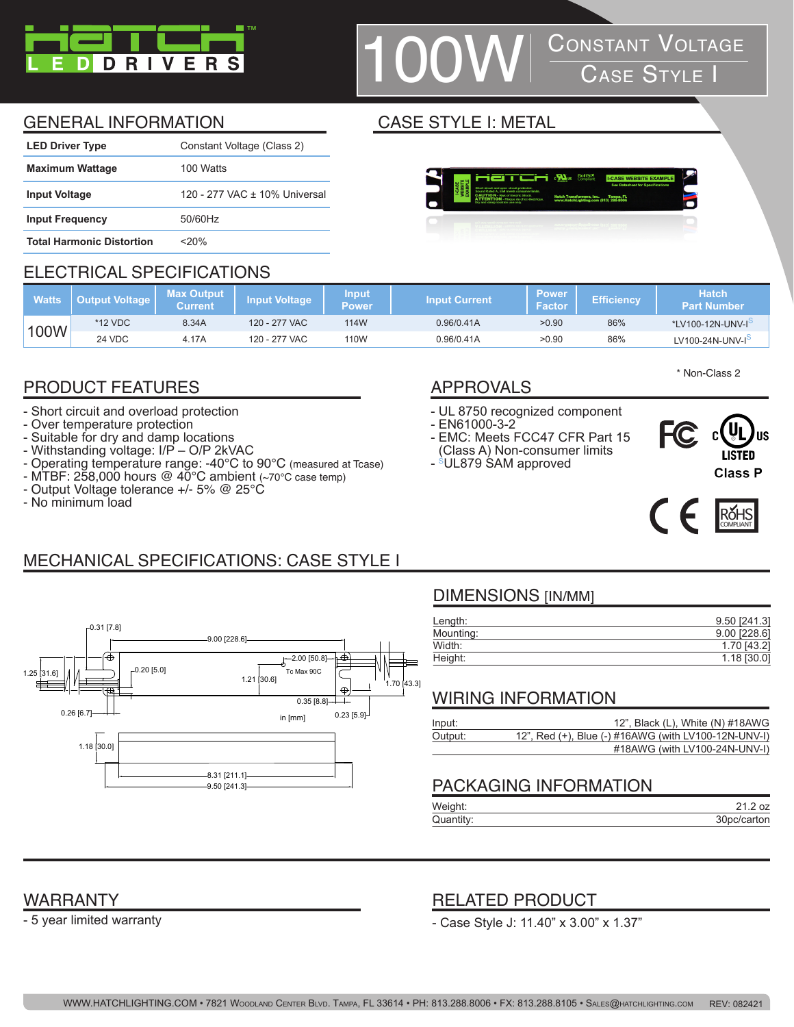

## **CONSTANT VOLTAGE**<br>CASE STYLE I

Tampa, FL<br>13. 200.000

### GENERAL INFORMATION CASE STYLE I: METAL

| <b>LED Driver Type</b>           | Constant Voltage (Class 2)    |
|----------------------------------|-------------------------------|
| <b>Maximum Wattage</b>           | 100 Watts                     |
| <b>Input Voltage</b>             | 120 - 277 VAC ± 10% Universal |
| <b>Input Frequency</b>           | 50/60Hz                       |
| <b>Total Harmonic Distortion</b> | <20%                          |

#### ELECTRICAL SPECIFICATIONS

| <b>Watts</b> | Output Voltage l | <b>Max Output</b><br>Current | Input Voltage | <b>Input</b><br>Power | <b>Input Current</b> | <b>Power</b><br>/ Facton | <b>Efficiency</b> | <b>Hatch</b><br>Part Number |
|--------------|------------------|------------------------------|---------------|-----------------------|----------------------|--------------------------|-------------------|-----------------------------|
| 100W         | *12 VDC          | 8.34A                        | 120 - 277 VAC | 114W                  | 0.96/0.41A           | >0.90                    | 86%               | *LV100-12N-UNV-I            |
|              | 24 VDC           | 4.17A                        | 120 - 277 VAC | 110W                  | 0.96/0.41A           | >0.90                    | 86%               | $LV100-24N-UNV-Io$          |

### PRODUCT FEATURES APPROVALS

- Short circuit and overload protection
- Over temperature protection
- Suitable for dry and damp locations
- Withstanding voltage: I/P O/P 2kVAC
- Operating temperature range: -40°C to 90°C (measured at Tcase)
- MTBF: 258,000 hours @ 40°C ambient (~70°C case temp) - Output Voltage tolerance +/- 5% @ 25°C
- No minimum load

- UL 8750 recognized component
- EN61000-3-2
- EMC: Meets FCC47 CFR Part 15 (Class A) Non-consumer limits





\* Non-Class 2



## MECHANICAL SPECIFICATIONS: CASE STYLE I



#### DIMENSIONS [IN/MM]

| Length:   | 9.50 [241.3]   |
|-----------|----------------|
| Mounting: | $9.00$ [228.6] |
| Width:    | 1.70 [43.2]    |
| Height:   | $1.18$ [30.0]  |

#### WIRING INFORMATION

| Input:  | 12", Black (L), White (N) #18AWG                     |
|---------|------------------------------------------------------|
| Output: | 12", Red (+), Blue (-) #16AWG (with LV100-12N-UNV-I) |
|         | #18AWG (with LV100-24N-UNV-I)                        |

#### PACKAGING INFORMATION

| Weight:   |             |
|-----------|-------------|
| Quantity: | 30pc/carton |

#### WARRANTY

- 5 year limited warranty

#### RELATED PRODUCT

- Case Style J: 11.40" x 3.00" x 1.37"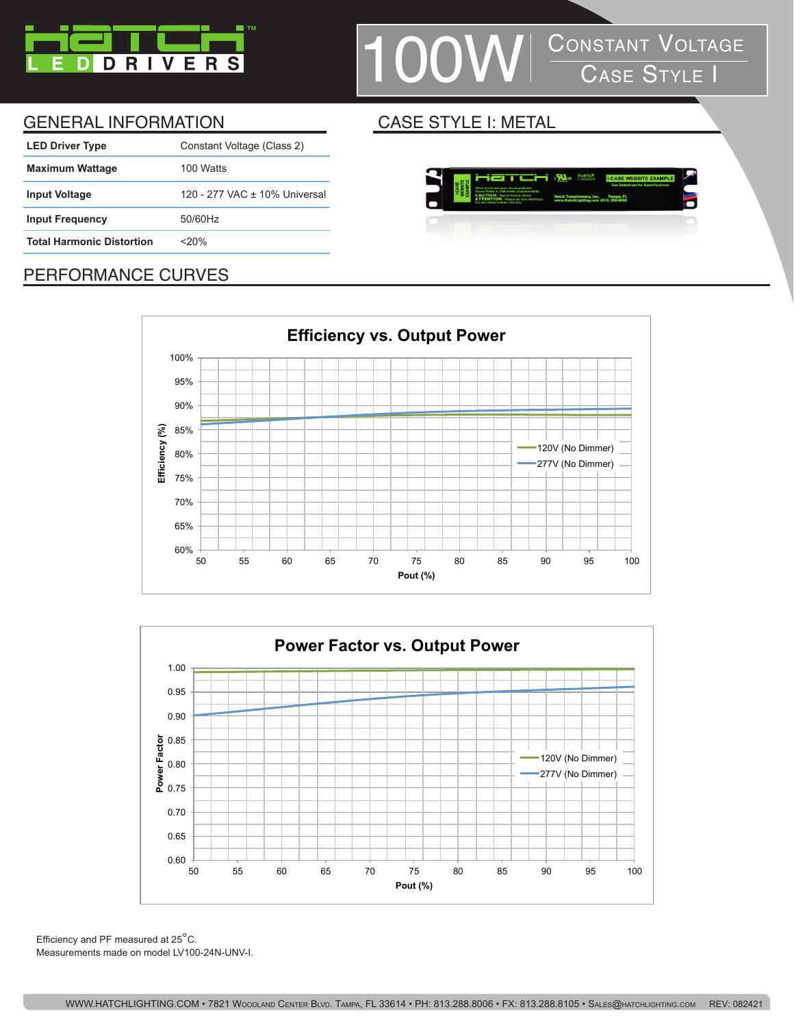

# $\textcolor{blue}{\textbf{OW}}\parallel \frac{\textbf{Consiant Volface}}{\textbf{Case S} \texttt{TYLE I}}$

#### GENERAL INFORMATION CASE STYLE I: METAL

| <b>LED Driver Type</b>           | Constant Voltage (Class 2)    |
|----------------------------------|-------------------------------|
| <b>Maximum Wattage</b>           | 100 Watts                     |
| <b>Input Voltage</b>             | 120 - 277 VAC + 10% Universal |
| <b>Input Frequency</b>           | 50/60Hz                       |
| <b>Total Harmonic Distortion</b> | $<$ 20%                       |
|                                  |                               |



#### PERFORMANCE CURVES





Efficiency and PF measured at 25°C. Measurements made on model LV100-24N-UNV-I.